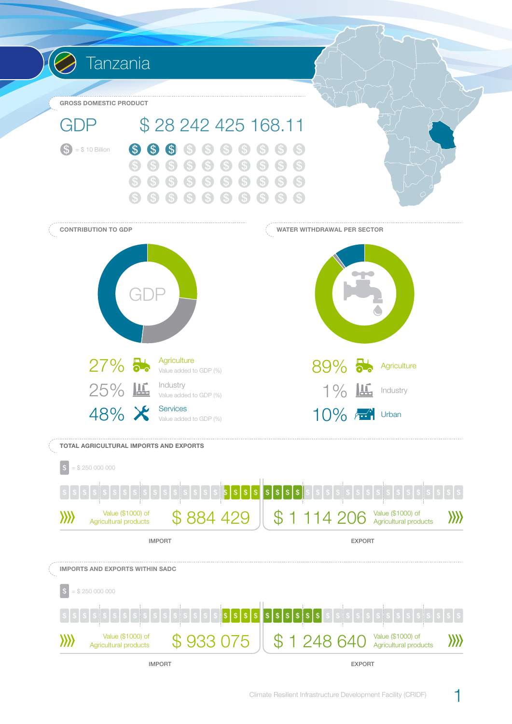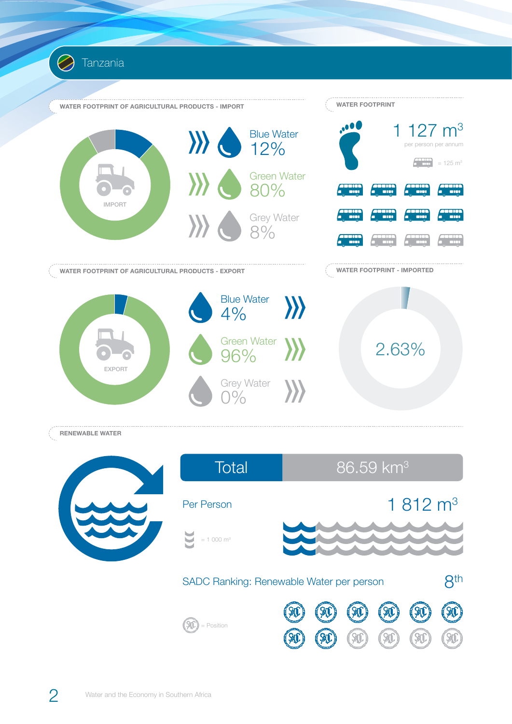

Tanzania

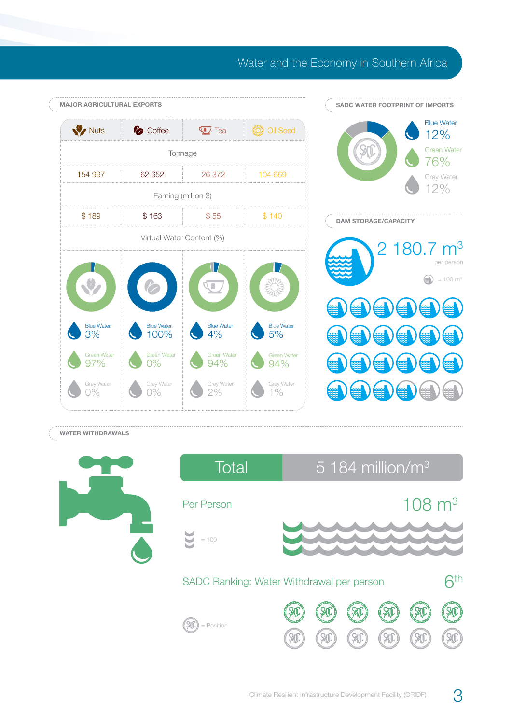## Water and the Economy in Southern Africa



## **WATER WITHDRAWALS**